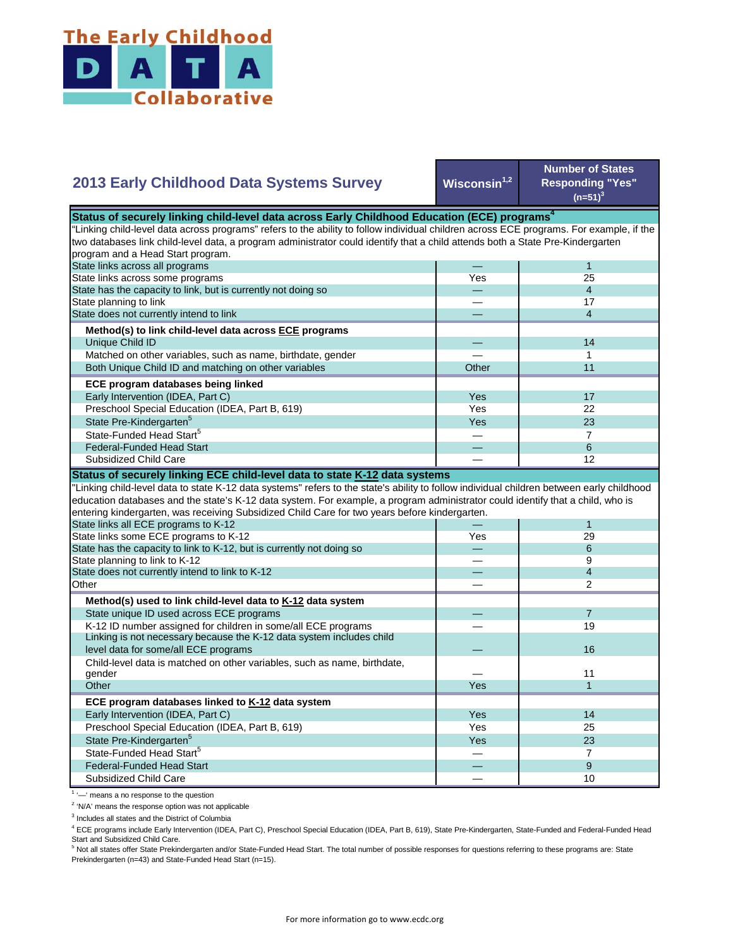

## $Wiscosin<sup>1,2</sup>$ — 1 Yes 25 State has the capacity to link, but is currently not doing so **2013 Early Childhood Data Systems Survey Status of securely linking child-level data across Early Childhood Education (ECE) programs** "Linking child-level data across programs" refers to the ability to follow individual children across ECE programs. For example, if the two databases link child-level data, a program administrator could identify that a child attends both a State Pre-Kindergarten program and a Head Start program. State links across all programs State links across some programs

| State has the capacity to link, but is currently not doing so |            |    |
|---------------------------------------------------------------|------------|----|
| State planning to link                                        |            | 17 |
| State does not currently intend to link                       |            | 4  |
| Method(s) to link child-level data across ECE programs        |            |    |
| Unique Child ID                                               |            | 14 |
| Matched on other variables, such as name, birthdate, gender   |            |    |
| Both Unique Child ID and matching on other variables          | Other      | 11 |
| ECE program databases being linked                            |            |    |
| Early Intervention (IDEA, Part C)                             | Yes        | 17 |
| Preschool Special Education (IDEA, Part B, 619)               | Yes        | 22 |
| State Pre-Kindergarten <sup>5</sup>                           | <b>Yes</b> | 23 |
| State-Funded Head Start <sup>5</sup>                          |            |    |
| <b>Federal-Funded Head Start</b>                              |            | 6  |
| Subsidized Child Care                                         |            | 12 |

**Number of States Responding "Yes"**   $(n=51)^{3}$ 

## **Status of securely linking ECE child-level data to state K-12 data systems**

"Linking child-level data to state K-12 data systems" refers to the state's ability to follow individual children between early childhood education databases and the state's K-12 data system. For example, a program administrator could identify that a child, who is entering kindergarten, was receiving Subsidized Child Care for two years before kindergarten.

| entering Kingergarten, was receiving Subsidized Child Care for two years before Kingergarten. |            |                |  |  |
|-----------------------------------------------------------------------------------------------|------------|----------------|--|--|
| State links all ECE programs to K-12                                                          |            |                |  |  |
| State links some ECE programs to K-12                                                         | Yes        | 29             |  |  |
| State has the capacity to link to K-12, but is currently not doing so                         |            | 6              |  |  |
| State planning to link to K-12                                                                |            | 9              |  |  |
| State does not currently intend to link to K-12                                               |            | 4              |  |  |
| Other                                                                                         |            | 2              |  |  |
| Method(s) used to link child-level data to K-12 data system                                   |            |                |  |  |
| State unique ID used across ECE programs                                                      |            | $\overline{7}$ |  |  |
| K-12 ID number assigned for children in some/all ECE programs                                 |            | 19             |  |  |
| Linking is not necessary because the K-12 data system includes child                          |            |                |  |  |
| level data for some/all ECE programs                                                          |            | 16             |  |  |
| Child-level data is matched on other variables, such as name, birthdate,                      |            |                |  |  |
| gender                                                                                        |            | 11             |  |  |
| Other                                                                                         | Yes        |                |  |  |
| ECE program databases linked to K-12 data system                                              |            |                |  |  |
| Early Intervention (IDEA, Part C)                                                             | Yes        | 14             |  |  |
| Preschool Special Education (IDEA, Part B, 619)                                               | Yes        | 25             |  |  |
| State Pre-Kindergarten <sup>5</sup>                                                           | <b>Yes</b> | 23             |  |  |
| State-Funded Head Start <sup>5</sup>                                                          |            |                |  |  |
| <b>Federal-Funded Head Start</b>                                                              |            | 9              |  |  |
| Subsidized Child Care                                                                         |            | 10             |  |  |
|                                                                                               |            |                |  |  |

<sup>1</sup> '-' means a no response to the question

<sup>2</sup> 'N/A' means the response option was not applicable

<sup>3</sup> Includes all states and the District of Columbia

<sup>4</sup> ECE programs include Early Intervention (IDEA, Part C), Preschool Special Education (IDEA, Part B, 619), State Pre-Kindergarten, State-Funded and Federal-Funded Head Start and Subsidized Child Care.

<sup>5</sup> Not all states offer State Prekindergarten and/or State-Funded Head Start. The total number of possible responses for questions referring to these programs are: State Prekindergarten (n=43) and State-Funded Head Start (n=15).